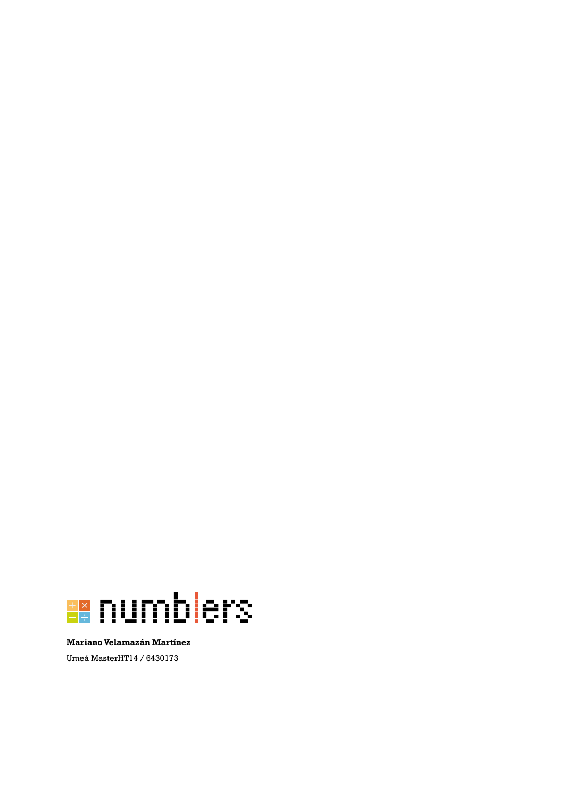

**Mariano Velamazán Martínez** Umeå MasterHT14 / 6430173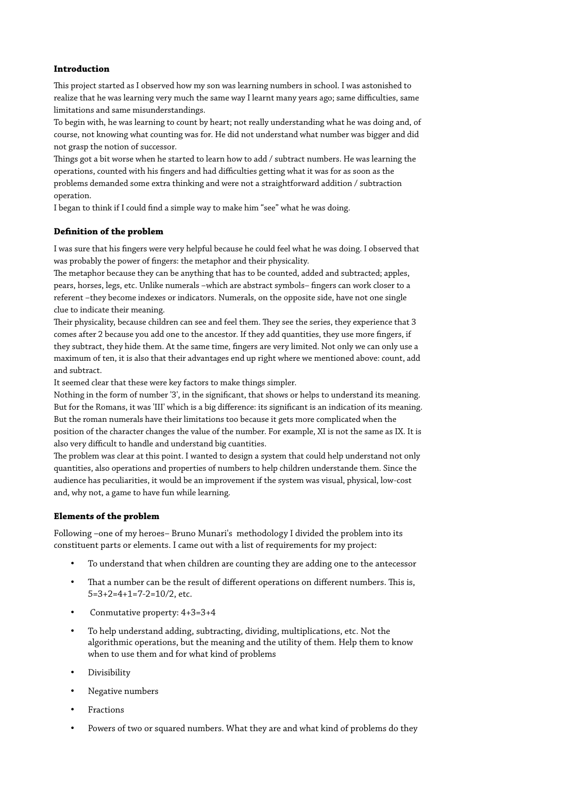### **Introduction**

Tis project started as I observed how my son was learning numbers in school. I was astonished to realize that he was learning very much the same way I learnt many years ago; same difculties, same limitations and same misunderstandings.

To begin with, he was learning to count by heart; not really understanding what he was doing and, of course, not knowing what counting was for. He did not understand what number was bigger and did not grasp the notion of successor.

Tings got a bit worse when he started to learn how to add / subtract numbers. He was learning the operations, counted with his fngers and had difculties getting what it was for as soon as the problems demanded some extra thinking and were not a straightforward addition / subtraction operation.

I began to think if I could fnd a simple way to make him "see" what he was doing.

# **Defnition of the problem**

I was sure that his fngers were very helpful because he could feel what he was doing. I observed that was probably the power of fngers: the metaphor and their physicality.

The metaphor because they can be anything that has to be counted, added and subtracted; apples, pears, horses, legs, etc. Unlike numerals –which are abstract symbols– fngers can work closer to a referent –they become indexes or indicators. Numerals, on the opposite side, have not one single clue to indicate their meaning.

Their physicality, because children can see and feel them. They see the series, they experience that 3 comes after 2 because you add one to the ancestor. If they add quantities, they use more fngers, if they subtract, they hide them. At the same time, fngers are very limited. Not only we can only use a maximum of ten, it is also that their advantages end up right where we mentioned above: count, add and subtract.

It seemed clear that these were key factors to make things simpler.

Nothing in the form of number '3', in the signifcant, that shows or helps to understand its meaning. But for the Romans, it was 'III' which is a big diference: its signifcant is an indication of its meaning. But the roman numerals have their limitations too because it gets more complicated when the position of the character changes the value of the number. For example, XI is not the same as IX. It is also very difficult to handle and understand big cuantities.

The problem was clear at this point. I wanted to design a system that could help understand not only quantities, also operations and properties of numbers to help children understande them. Since the audience has peculiarities, it would be an improvement if the system was visual, physical, low-cost and, why not, a game to have fun while learning.

# **Elements of the problem**

Following –one of my heroes– Bruno Munari's methodology I divided the problem into its constituent parts or elements. I came out with a list of requirements for my project:

- To understand that when children are counting they are adding one to the antecessor
- That a number can be the result of different operations on different numbers. This is, 5=3+2=4+1=7-2=10/2, etc.
- Conmutative property: 4+3=3+4
- To help understand adding, subtracting, dividing, multiplications, etc. Not the algorithmic operations, but the meaning and the utility of them. Help them to know when to use them and for what kind of problems
- Divisibility
- Negative numbers
- **Fractions**
- Powers of two or squared numbers. What they are and what kind of problems do they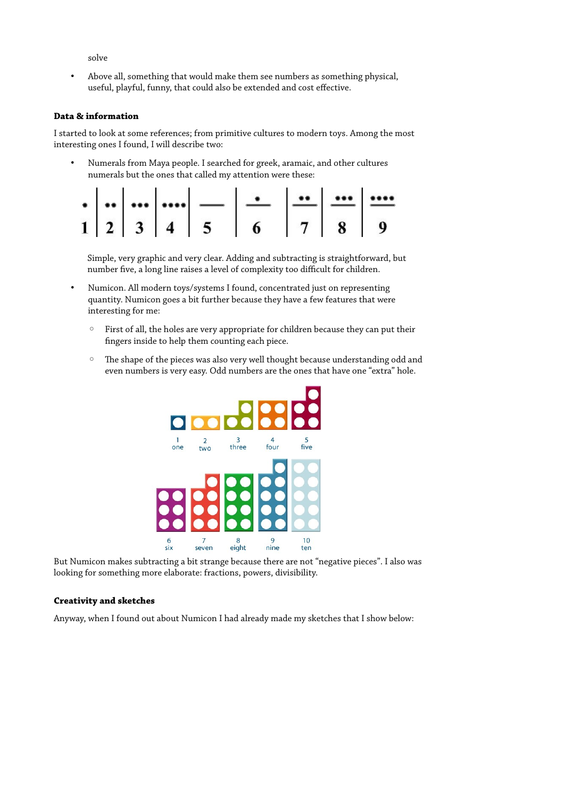solve

• Above all, something that would make them see numbers as something physical, useful, playful, funny, that could also be extended and cost efective.

### **Data & information**

I started to look at some references; from primitive cultures to modern toys. Among the most interesting ones I found, I will describe two:

• Numerals from Maya people. I searched for greek, aramaic, and other cultures numerals but the ones that called my attention were these:

|  |  | $1 \mid 2 \mid 3 \mid 4 \mid 5 \mid 6 \mid 7 \mid 8 \mid 9$ |  |  |
|--|--|-------------------------------------------------------------|--|--|

Simple, very graphic and very clear. Adding and subtracting is straightforward, but number five, a long line raises a level of complexity too difficult for children.

- Numicon. All modern toys/systems I found, concentrated just on representing quantity. Numicon goes a bit further because they have a few features that were interesting for me:
	- First of all, the holes are very appropriate for children because they can put their fngers inside to help them counting each piece.
	- The shape of the pieces was also very well thought because understanding odd and even numbers is very easy. Odd numbers are the ones that have one "extra" hole.



But Numicon makes subtracting a bit strange because there are not "negative pieces". I also was looking for something more elaborate: fractions, powers, divisibility.

# **Creativity and sketches**

Anyway, when I found out about Numicon I had already made my sketches that I show below: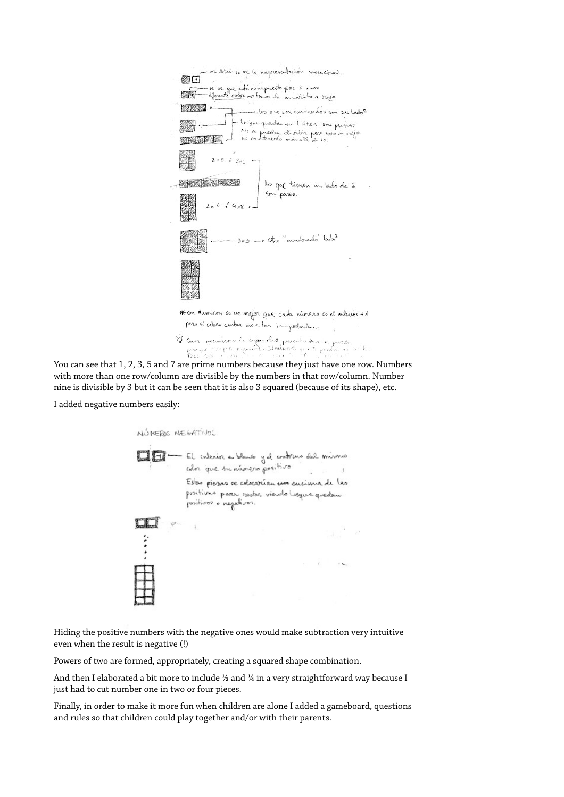

You can see that 1, 2, 3, 5 and 7 are prime numbers because they just have one row. Numbers with more than one row/column are divisible by the numbers in that row/column. Number nine is divisible by 3 but it can be seen that it is also 3 squared (because of its shape), etc.

I added negative numbers easily:



Hiding the positive numbers with the negative ones would make subtraction very intuitive even when the result is negative (!)

Powers of two are formed, appropriately, creating a squared shape combination.

And then I elaborated a bit more to include 1/2 and 1/4 in a very straightforward way because I just had to cut number one in two or four pieces.

Finally, in order to make it more fun when children are alone I added a gameboard, questions and rules so that children could play together and/or with their parents.